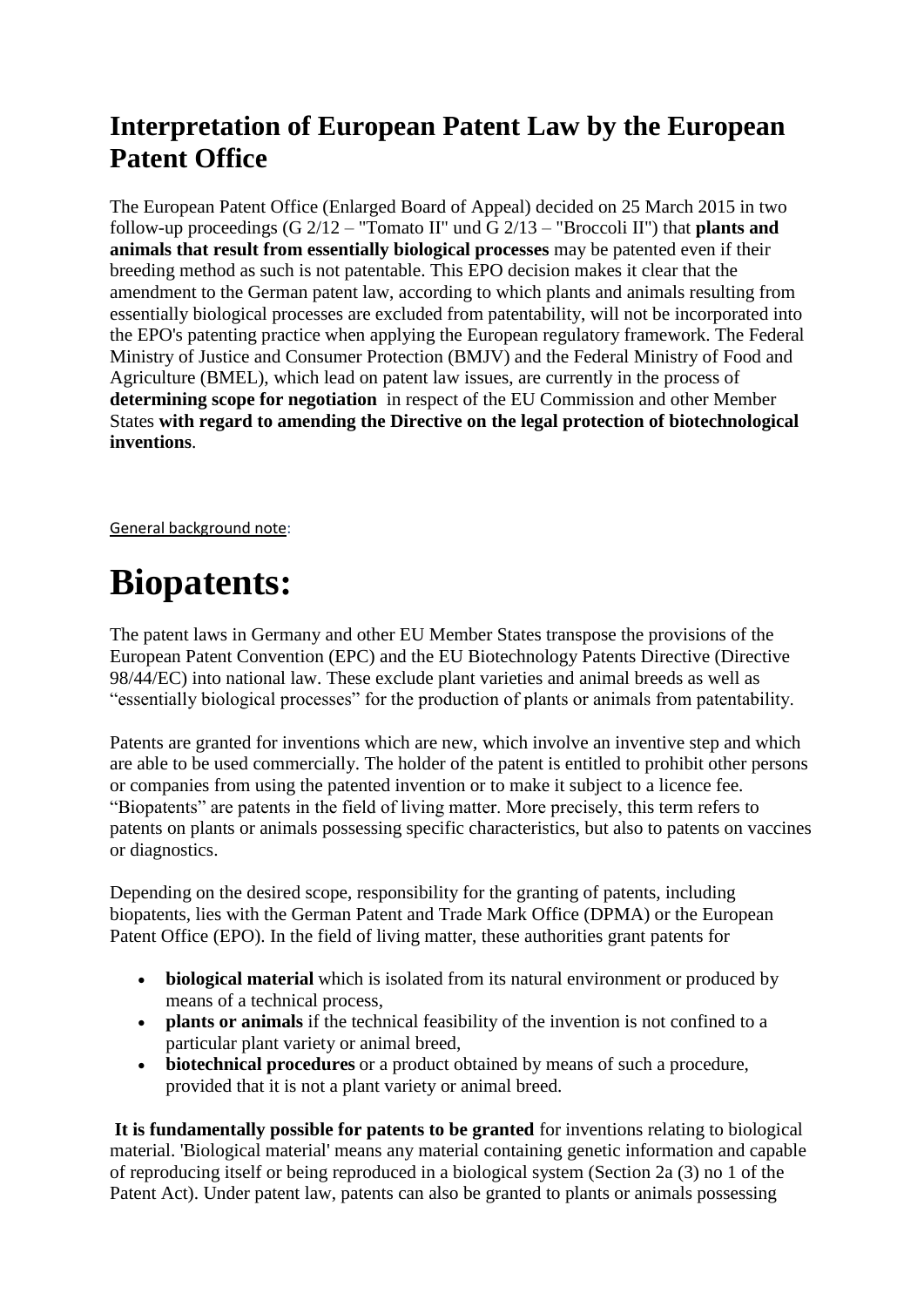### **Interpretation of European Patent Law by the European Patent Office**

The European Patent Office (Enlarged Board of Appeal) decided on 25 March 2015 in two follow-up proceedings (G 2/12 – "Tomato II" und G 2/13 – "Broccoli II") that **plants and animals that result from essentially biological processes** may be patented even if their breeding method as such is not patentable. This EPO decision makes it clear that the amendment to the German patent law, according to which plants and animals resulting from essentially biological processes are excluded from patentability, will not be incorporated into the EPO's patenting practice when applying the European regulatory framework. The Federal Ministry of Justice and Consumer Protection (BMJV) and the Federal Ministry of Food and Agriculture (BMEL), which lead on patent law issues, are currently in the process of **determining scope for negotiation** in respect of the EU Commission and other Member States **with regard to amending the Directive on the legal protection of biotechnological inventions**.

General background note:

# **Biopatents:**

The patent laws in Germany and other EU Member States transpose the provisions of the European Patent Convention (EPC) and the EU Biotechnology Patents Directive (Directive 98/44/EC) into national law. These exclude plant varieties and animal breeds as well as "essentially biological processes" for the production of plants or animals from patentability.

Patents are granted for inventions which are new, which involve an inventive step and which are able to be used commercially. The holder of the patent is entitled to prohibit other persons or companies from using the patented invention or to make it subject to a licence fee. "Biopatents" are patents in the field of living matter. More precisely, this term refers to patents on plants or animals possessing specific characteristics, but also to patents on vaccines or diagnostics.

Depending on the desired scope, responsibility for the granting of patents, including biopatents, lies with the German Patent and Trade Mark Office (DPMA) or the European Patent Office (EPO). In the field of living matter, these authorities grant patents for

- **biological material** which is isolated from its natural environment or produced by means of a technical process,
- **plants or animals** if the technical feasibility of the invention is not confined to a particular plant variety or animal breed,
- **biotechnical procedures** or a product obtained by means of such a procedure, provided that it is not a plant variety or animal breed.

**It is fundamentally possible for patents to be granted** for inventions relating to biological material. 'Biological material' means any material containing genetic information and capable of reproducing itself or being reproduced in a biological system (Section 2a (3) no 1 of the Patent Act). Under patent law, patents can also be granted to plants or animals possessing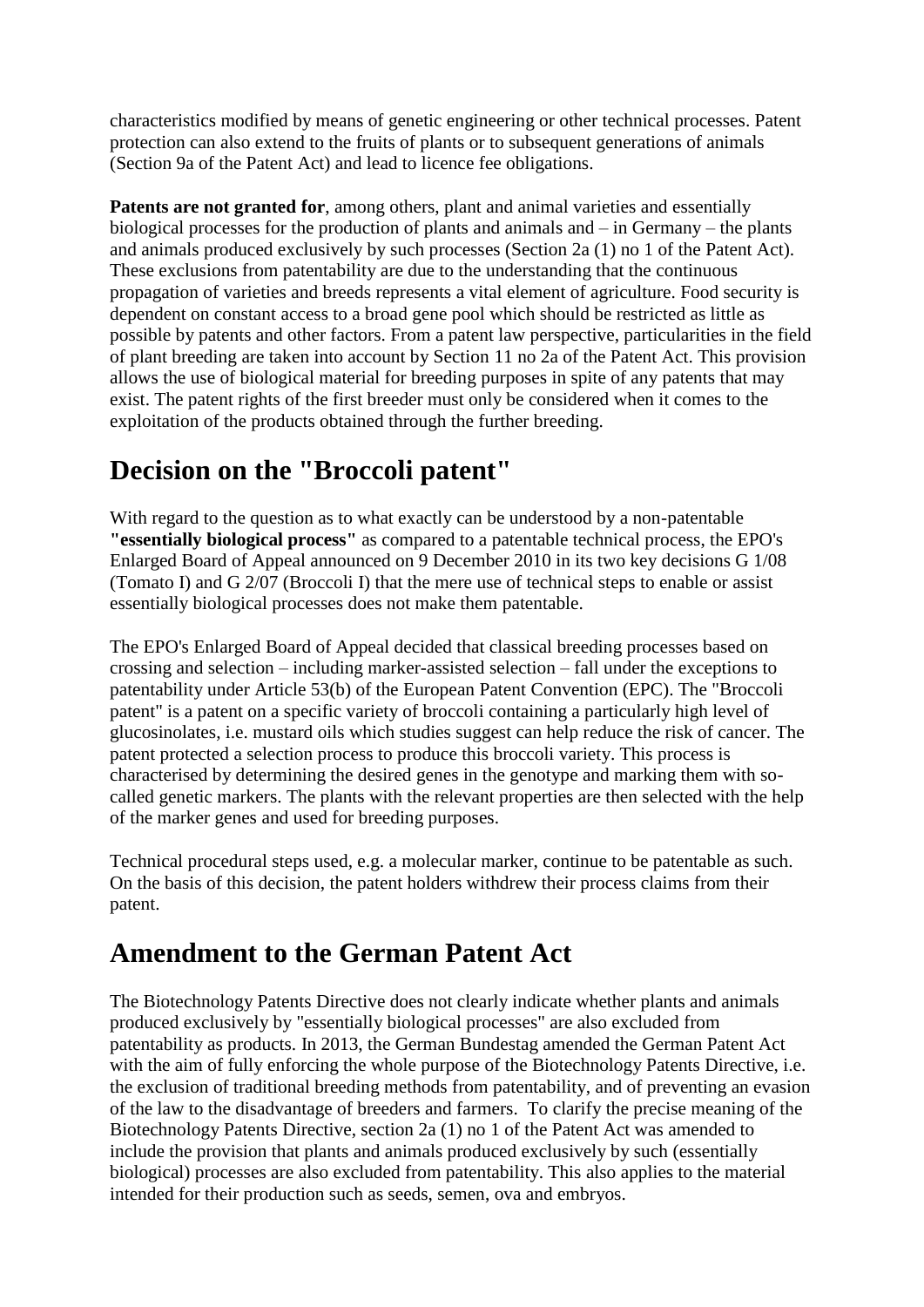characteristics modified by means of genetic engineering or other technical processes. Patent protection can also extend to the fruits of plants or to subsequent generations of animals (Section 9a of the Patent Act) and lead to licence fee obligations.

Patents are not granted for, among others, plant and animal varieties and essentially biological processes for the production of plants and animals and – in Germany – the plants and animals produced exclusively by such processes (Section 2a (1) no 1 of the Patent Act). These exclusions from patentability are due to the understanding that the continuous propagation of varieties and breeds represents a vital element of agriculture. Food security is dependent on constant access to a broad gene pool which should be restricted as little as possible by patents and other factors. From a patent law perspective, particularities in the field of plant breeding are taken into account by Section 11 no 2a of the Patent Act. This provision allows the use of biological material for breeding purposes in spite of any patents that may exist. The patent rights of the first breeder must only be considered when it comes to the exploitation of the products obtained through the further breeding.

### **Decision on the "Broccoli patent"**

With regard to the question as to what exactly can be understood by a non-patentable **"essentially biological process"** as compared to a patentable technical process, the EPO's Enlarged Board of Appeal announced on 9 December 2010 in its two key decisions G 1/08 (Tomato I) and G 2/07 (Broccoli I) that the mere use of technical steps to enable or assist essentially biological processes does not make them patentable.

The EPO's Enlarged Board of Appeal decided that classical breeding processes based on crossing and selection – including marker-assisted selection – fall under the exceptions to patentability under Article 53(b) of the European Patent Convention (EPC). The "Broccoli patent" is a patent on a specific variety of broccoli containing a particularly high level of glucosinolates, i.e. mustard oils which studies suggest can help reduce the risk of cancer. The patent protected a selection process to produce this broccoli variety. This process is characterised by determining the desired genes in the genotype and marking them with socalled genetic markers. The plants with the relevant properties are then selected with the help of the marker genes and used for breeding purposes.

Technical procedural steps used, e.g. a molecular marker, continue to be patentable as such. On the basis of this decision, the patent holders withdrew their process claims from their patent.

### **Amendment to the German Patent Act**

The Biotechnology Patents Directive does not clearly indicate whether plants and animals produced exclusively by "essentially biological processes" are also excluded from patentability as products. In 2013, the German Bundestag amended the German Patent Act with the aim of fully enforcing the whole purpose of the Biotechnology Patents Directive, i.e. the exclusion of traditional breeding methods from patentability, and of preventing an evasion of the law to the disadvantage of breeders and farmers. To clarify the precise meaning of the Biotechnology Patents Directive, section 2a (1) no 1 of the Patent Act was amended to include the provision that plants and animals produced exclusively by such (essentially biological) processes are also excluded from patentability. This also applies to the material intended for their production such as seeds, semen, ova and embryos.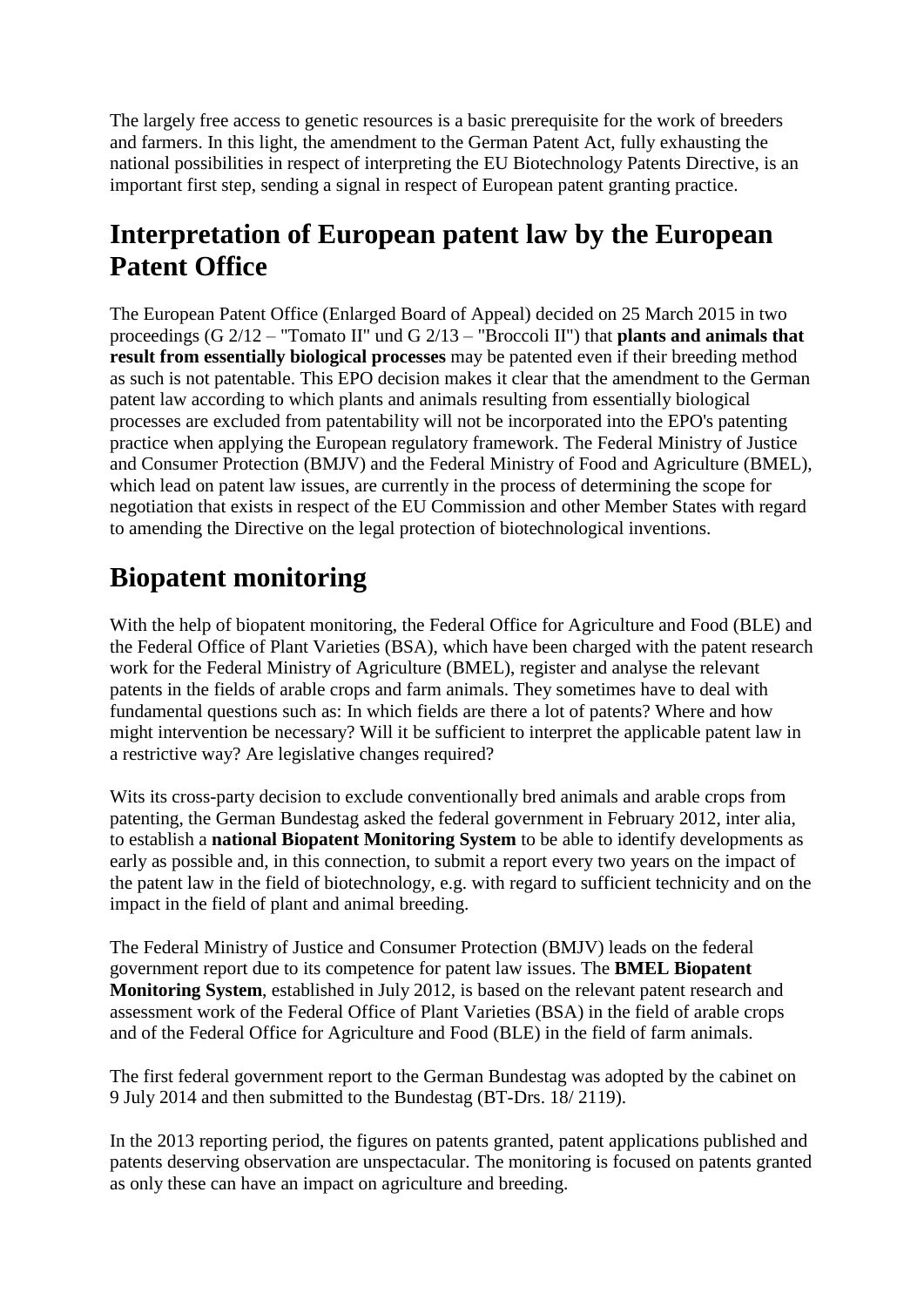The largely free access to genetic resources is a basic prerequisite for the work of breeders and farmers. In this light, the amendment to the German Patent Act, fully exhausting the national possibilities in respect of interpreting the EU Biotechnology Patents Directive, is an important first step, sending a signal in respect of European patent granting practice.

#### **Interpretation of European patent law by the European Patent Office**

The European Patent Office (Enlarged Board of Appeal) decided on 25 March 2015 in two proceedings (G 2/12 – "Tomato II" und G 2/13 – "Broccoli II") that **plants and animals that result from essentially biological processes** may be patented even if their breeding method as such is not patentable. This EPO decision makes it clear that the amendment to the German patent law according to which plants and animals resulting from essentially biological processes are excluded from patentability will not be incorporated into the EPO's patenting practice when applying the European regulatory framework. The Federal Ministry of Justice and Consumer Protection (BMJV) and the Federal Ministry of Food and Agriculture (BMEL), which lead on patent law issues, are currently in the process of determining the scope for negotiation that exists in respect of the EU Commission and other Member States with regard to amending the Directive on the legal protection of biotechnological inventions.

## **Biopatent monitoring**

With the help of biopatent monitoring, the Federal Office for Agriculture and Food (BLE) and the Federal Office of Plant Varieties (BSA), which have been charged with the patent research work for the Federal Ministry of Agriculture (BMEL), register and analyse the relevant patents in the fields of arable crops and farm animals. They sometimes have to deal with fundamental questions such as: In which fields are there a lot of patents? Where and how might intervention be necessary? Will it be sufficient to interpret the applicable patent law in a restrictive way? Are legislative changes required?

Wits its cross-party decision to exclude conventionally bred animals and arable crops from patenting, the German Bundestag asked the federal government in February 2012, inter alia, to establish a **national Biopatent Monitoring System** to be able to identify developments as early as possible and, in this connection, to submit a report every two years on the impact of the patent law in the field of biotechnology, e.g. with regard to sufficient technicity and on the impact in the field of plant and animal breeding.

The Federal Ministry of Justice and Consumer Protection (BMJV) leads on the federal government report due to its competence for patent law issues. The **BMEL Biopatent Monitoring System**, established in July 2012, is based on the relevant patent research and assessment work of the Federal Office of Plant Varieties (BSA) in the field of arable crops and of the Federal Office for Agriculture and Food (BLE) in the field of farm animals.

The first federal government report to the German Bundestag was adopted by the cabinet on 9 July 2014 and then submitted to the Bundestag (BT-Drs. 18/ 2119).

In the 2013 reporting period, the figures on patents granted, patent applications published and patents deserving observation are unspectacular. The monitoring is focused on patents granted as only these can have an impact on agriculture and breeding.